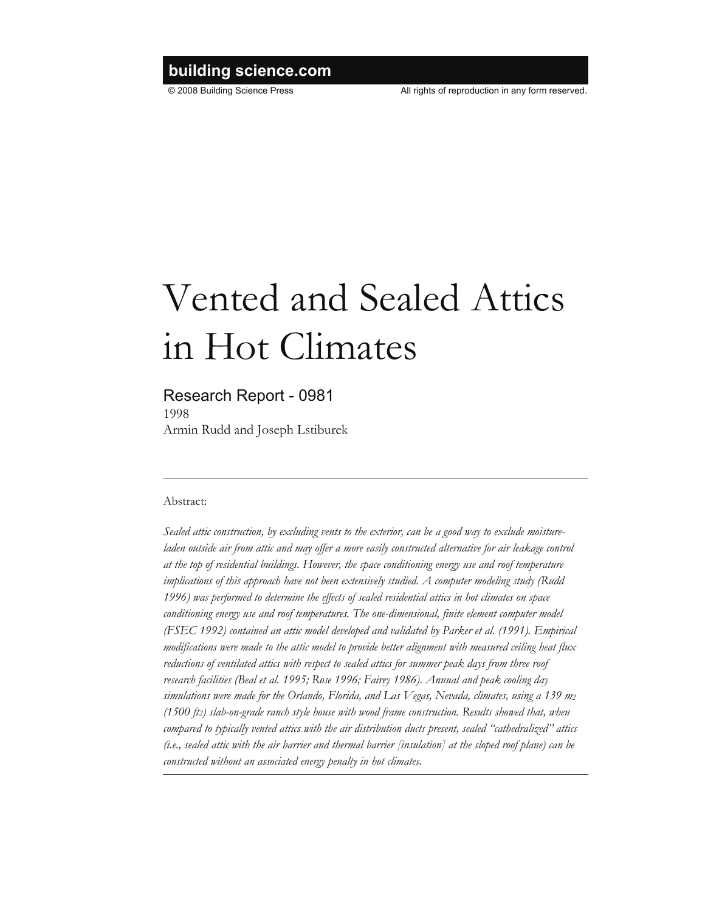## <span id="page-0-0"></span>**building science.com**

© 2008 Building Science Press All rights of reproduction in any form reserved.

# Vented and Sealed Attics in Hot Climates

### Research Report - 0981

<span id="page-0-1"></span>1998 Armin Rudd and Joseph Lstiburek

#### Abstract:

*Sealed attic construction, by excluding vents to the exterior, can be a good way to exclude moistureladen outside air from attic and may offer a more easily constructed alternative for air leakage control at the top of residential buildings. However, the space conditioning energy use and roof temperature implications of this approach have not been extensively studied. A computer modeling study (Rudd 1996) was performed to determine the effects of sealed residential attics in hot climates on space conditioning energy use and roof temperatures. The one-dimensional, finite element computer model (FSEC 1992) contained an attic model developed and validated by Parker et al. (1991). Empirical modifications were made to the attic model to provide better alignment with measured ceiling heat flux reductions of ventilated attics with respect to sealed attics for summer peak days from three roof research facilities (Beal et al. 1995; Rose 1996; Fairey 1986). Annual and peak cooling day simulations were made for the Orlando, Florida, and Las Vegas, Nevada, climates, using a 139 m2 (1500 ft2) slab-on-grade ranch style house with wood frame construction. Results showed that, when compared to typically vented attics with the air distribution ducts present, sealed "cathedralized" attics (i.e., sealed attic with the air barrier and thermal barrier [insulation] at the sloped roof plane) can be constructed without an associated energy penalty in hot climates.*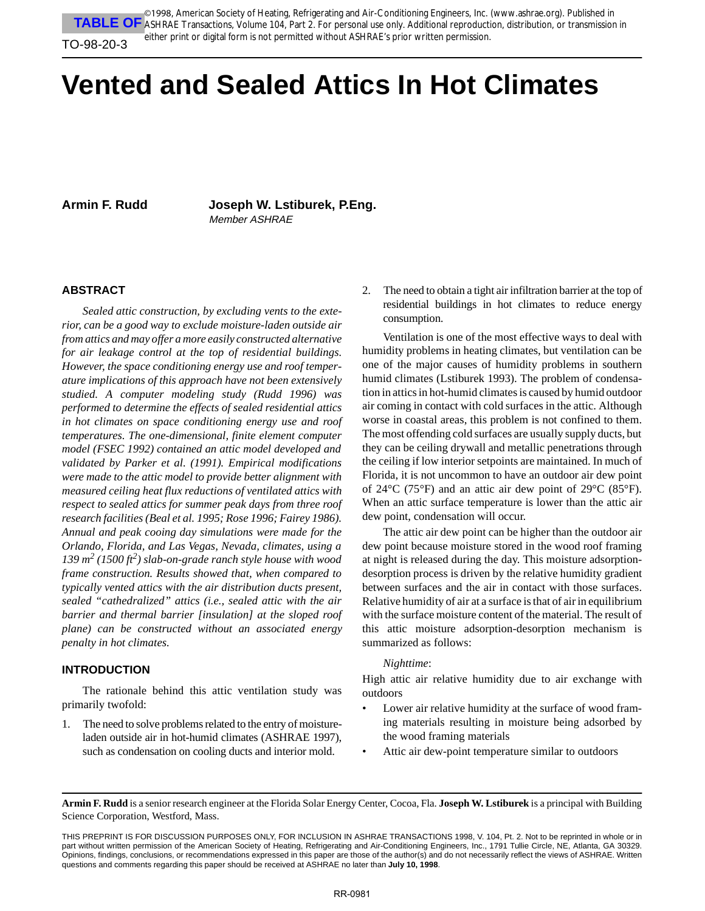<span id="page-1-1"></span><span id="page-1-0"></span>**TABLE OF** ASHRAE Transactions, Volume 104, Part 2. For personal use only. Additional reproduction, distribution, or transmission in ©1998, American Society of Heating, Refrigerating and Air-Conditioning Engineers, Inc. (www.ashrae.org). Published in either print or digital form is not permitted without ASHRAE's prior written permission.

#### TO-98-20-3

# **Vented and Sealed Attics In Hot Climates**

**Armin F. Rudd Joseph W. Lstiburek, P.Eng.** Member ASHRAE

#### **ABSTRACT**

*Sealed attic construction, by excluding vents to the exterior, can be a good way to exclude moisture-laden outside air from attics and may offer a more easily constructed alternative for air leakage control at the top of residential buildings. However, the space conditioning energy use and roof temperature implications of this approach have not been extensively studied. A computer modeling study (Rudd 1996) was performed to determine the effects of sealed residential attics in hot climates on space conditioning energy use and roof temperatures. The one-dimensional, finite element computer model (FSEC 1992) contained an attic model developed and validated by Parker et al. (1991). Empirical modifications were made to the attic model to provide better alignment with measured ceiling heat flux reductions of ventilated attics with respect to sealed attics for summer peak days from three roof research facilities (Beal et al. 1995; Rose 1996; Fairey 1986). Annual and peak cooing day simulations were made for the Orlando, Florida, and Las Vegas, Nevada, climates, using a 139 m<sup>2</sup> (1500 ft2 ) slab-on-grade ranch style house with wood frame construction. Results showed that, when compared to typically vented attics with the air distribution ducts present, sealed "cathedralized" attics (i.e., sealed attic with the air barrier and thermal barrier [insulation] at the sloped roof plane) can be constructed without an associated energy penalty in hot climates.*

#### **INTRODUCTION**

The rationale behind this attic ventilation study was primarily twofold:

1. The need to solve problems related to the entry of moistureladen outside air in hot-humid climates (ASHRAE 1997), such as condensation on cooling ducts and interior mold.

2. The need to obtain a tight air infiltration barrier at the top of residential buildings in hot climates to reduce energy consumption.

Ventilation is one of the most effective ways to deal with humidity problems in heating climates, but ventilation can be one of the major causes of humidity problems in southern humid climates (Lstiburek 1993). The problem of condensation in attics in hot-humid climates is caused by humid outdoor air coming in contact with cold surfaces in the attic. Although worse in coastal areas, this problem is not confined to them. The most offending cold surfaces are usually supply ducts, but they can be ceiling drywall and metallic penetrations through the ceiling if low interior setpoints are maintained. In much of Florida, it is not uncommon to have an outdoor air dew point of 24°C (75°F) and an attic air dew point of 29°C (85°F). When an attic surface temperature is lower than the attic air dew point, condensation will occur.

The attic air dew point can be higher than the outdoor air dew point because moisture stored in the wood roof framing at night is released during the day. This moisture adsorptiondesorption process is driven by the relative humidity gradient between surfaces and the air in contact with those surfaces. Relative humidity of air at a surface is that of air in equilibrium with the surface moisture content of the material. The result of this attic moisture adsorption-desorption mechanism is summarized as follows:

#### *Nighttime*:

High attic air relative humidity due to air exchange with outdoors

- Lower air relative humidity at the surface of wood framing materials resulting in moisture being adsorbed by the wood framing materials
- Attic air dew-point temperature similar to outdoors

**Armin F. Rudd** is a senior research engineer at the Florida Solar Energy Center, Cocoa, Fla. **Joseph W. Lstiburek** is a principal with Building Science Corporation, Westford, Mass.

THIS PREPRINT IS FOR DISCUSSION PURPOSES ONLY, FOR INCLUSION IN ASHRAE TRANSACTIONS 1998, V. 104, Pt. 2. Not to be reprinted in whole or in part without written permission of the American Society of Heating, Refrigerating and Air-Conditioning Engineers, Inc., 1791 Tullie Circle, NE, Atlanta, GA 30329. Opinions, findings, conclusions, or recommendations expressed in this paper are those of the author(s) and do not necessarily reflect the views of ASHRAE. Written questions and comments regarding this paper should be received at ASHRAE no later than **July 10, 1998**.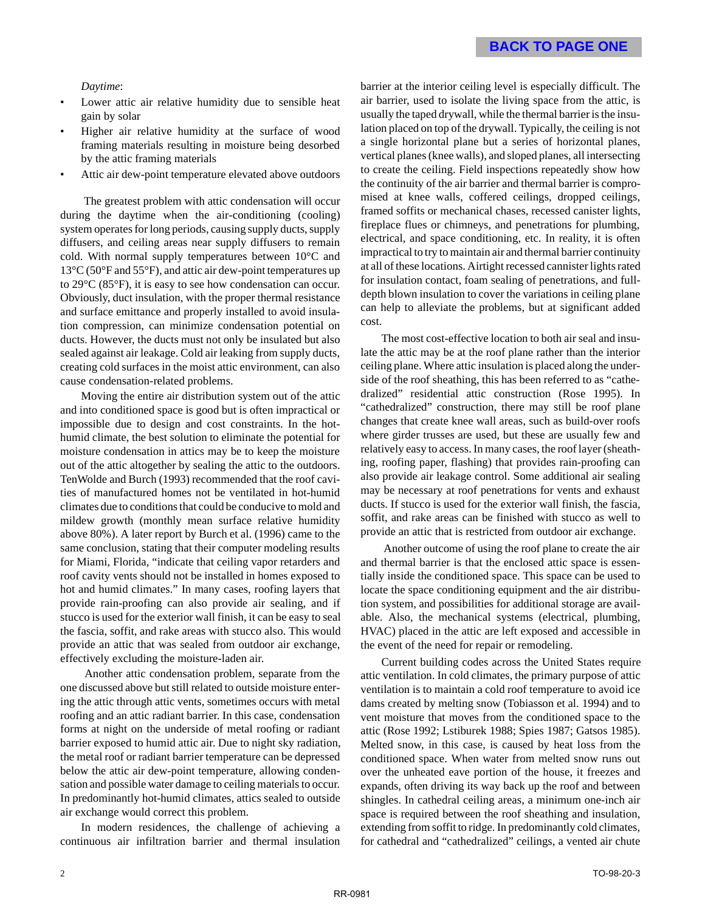#### *Daytime*:

- Lower attic air relative humidity due to sensible heat gain by solar
- Higher air relative humidity at the surface of wood framing materials resulting in moisture being desorbed by the attic framing materials
- Attic air dew-point temperature elevated above outdoors

 The greatest problem with attic condensation will occur during the daytime when the air-conditioning (cooling) system operates for long periods, causing supply ducts, supply diffusers, and ceiling areas near supply diffusers to remain cold. With normal supply temperatures between 10°C and 13°C (50°F and 55°F), and attic air dew-point temperatures up to 29°C (85°F), it is easy to see how condensation can occur. Obviously, duct insulation, with the proper thermal resistance and surface emittance and properly installed to avoid insulation compression, can minimize condensation potential on ducts. However, the ducts must not only be insulated but also sealed against air leakage. Cold air leaking from supply ducts, creating cold surfaces in the moist attic environment, can also cause condensation-related problems.

Moving the entire air distribution system out of the attic and into conditioned space is good but is often impractical or impossible due to design and cost constraints. In the hothumid climate, the best solution to eliminate the potential for moisture condensation in attics may be to keep the moisture out of the attic altogether by sealing the attic to the outdoors. TenWolde and Burch (1993) recommended that the roof cavities of manufactured homes not be ventilated in hot-humid climates due to conditions that could be conducive to mold and mildew growth (monthly mean surface relative humidity above 80%). A later report by Burch et al. (1996) came to the same conclusion, stating that their computer modeling results for Miami, Florida, "indicate that ceiling vapor retarders and roof cavity vents should not be installed in homes exposed to hot and humid climates." In many cases, roofing layers that provide rain-proofing can also provide air sealing, and if stucco is used for the exterior wall finish, it can be easy to seal the fascia, soffit, and rake areas with stucco also. This would provide an attic that was sealed from outdoor air exchange, effectively excluding the moisture-laden air.

 Another attic condensation problem, separate from the one discussed above but still related to outside moisture entering the attic through attic vents, sometimes occurs with metal roofing and an attic radiant barrier. In this case, condensation forms at night on the underside of metal roofing or radiant barrier exposed to humid attic air. Due to night sky radiation, the metal roof or radiant barrier temperature can be depressed below the attic air dew-point temperature, allowing condensation and possible water damage to ceiling materials to occur. In predominantly hot-humid climates, attics sealed to outside air exchange would correct this problem.

In modern residences, the challenge of achieving a continuous air infiltration barrier and thermal insulation barrier at the interior ceiling level is especially difficult. The air barrier, used to isolate the living space from the attic, is usually the taped drywall, while the thermal barrier is the insulation placed on top of the drywall. Typically, the ceiling is not a single horizontal plane but a series of horizontal planes, vertical planes (knee walls), and sloped planes, all intersecting to create the ceiling. Field inspections repeatedly show how the continuity of the air barrier and thermal barrier is compromised at knee walls, coffered ceilings, dropped ceilings, framed soffits or mechanical chases, recessed canister lights, fireplace flues or chimneys, and penetrations for plumbing, electrical, and space conditioning, etc. In reality, it is often impractical to try to maintain air and thermal barrier continuity at all of these locations. Airtight recessed cannister lights rated for insulation contact, foam sealing of penetrations, and fulldepth blown insulation to cover the variations in ceiling plane can help to alleviate the problems, but at significant added cost.

The most cost-effective location to both air seal and insulate the attic may be at the roof plane rather than the interior ceiling plane. Where attic insulation is placed along the underside of the roof sheathing, this has been referred to as "cathedralized" residential attic construction (Rose 1995). In "cathedralized" construction, there may still be roof plane changes that create knee wall areas, such as build-over roofs where girder trusses are used, but these are usually few and relatively easy to access. In many cases, the roof layer (sheathing, roofing paper, flashing) that provides rain-proofing can also provide air leakage control. Some additional air sealing may be necessary at roof penetrations for vents and exhaust ducts. If stucco is used for the exterior wall finish, the fascia, soffit, and rake areas can be finished with stucco as well to provide an attic that is restricted from outdoor air exchange.

 Another outcome of using the roof plane to create the air and thermal barrier is that the enclosed attic space is essentially inside the conditioned space. This space can be used to locate the space conditioning equipment and the air distribution system, and possibilities for additional storage are available. Also, the mechanical systems (electrical, plumbing, HVAC) placed in the attic are left exposed and accessible in the event of the need for repair or remodeling.

Current building codes across the United States require attic ventilation. In cold climates, the primary purpose of attic ventilation is to maintain a cold roof temperature to avoid ice dams created by melting snow (Tobiasson et al. 1994) and to vent moisture that moves from the conditioned space to the attic (Rose 1992; Lstiburek 1988; Spies 1987; Gatsos 1985). Melted snow, in this case, is caused by heat loss from the conditioned space. When water from melted snow runs out over the unheated eave portion of the house, it freezes and expands, often driving its way back up the roof and between shingles. In cathedral ceiling areas, a minimum one-inch air space is required between the roof sheathing and insulation, extending from soffit to ridge. In predominantly cold climates, for cathedral and "cathedralized" ceilings, a vented air chute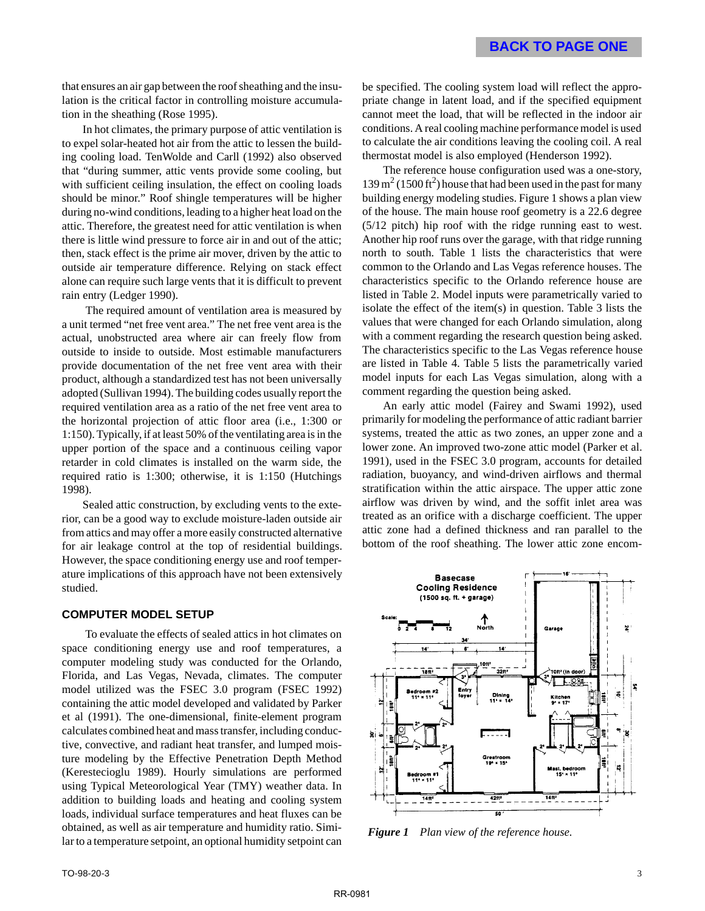that ensures an air gap between the roof sheathing and the insulation is the critical factor in controlling moisture accumulation in the sheathing (Rose 1995).

In hot climates, the primary purpose of attic ventilation is to expel solar-heated hot air from the attic to lessen the building cooling load. TenWolde and Carll (1992) also observed that "during summer, attic vents provide some cooling, but with sufficient ceiling insulation, the effect on cooling loads should be minor." Roof shingle temperatures will be higher during no-wind conditions, leading to a higher heat load on the attic. Therefore, the greatest need for attic ventilation is when there is little wind pressure to force air in and out of the attic; then, stack effect is the prime air mover, driven by the attic to outside air temperature difference. Relying on stack effect alone can require such large vents that it is difficult to prevent rain entry (Ledger 1990).

 The required amount of ventilation area is measured by a unit termed "net free vent area." The net free vent area is the actual, unobstructed area where air can freely flow from outside to inside to outside. Most estimable manufacturers provide documentation of the net free vent area with their product, although a standardized test has not been universally adopted (Sullivan 1994). The building codes usually report the required ventilation area as a ratio of the net free vent area to the horizontal projection of attic floor area (i.e., 1:300 or 1:150). Typically, if at least 50% of the ventilating area is in the upper portion of the space and a continuous ceiling vapor retarder in cold climates is installed on the warm side, the required ratio is 1:300; otherwise, it is 1:150 (Hutchings 1998).

Sealed attic construction, by excluding vents to the exterior, can be a good way to exclude moisture-laden outside air from attics and may offer a more easily constructed alternative for air leakage control at the top of residential buildings. However, the space conditioning energy use and roof temperature implications of this approach have not been extensively studied.

#### **COMPUTER MODEL SETUP**

 To evaluate the effects of sealed attics in hot climates on space conditioning energy use and roof temperatures, a computer modeling study was conducted for the Orlando, Florida, and Las Vegas, Nevada, climates. The computer model utilized was the FSEC 3.0 program (FSEC 1992) containing the attic model developed and validated by Parker et al (1991). The one-dimensional, finite-element program calculates combined heat and mass transfer, including conductive, convective, and radiant heat transfer, and lumped moisture modeling by the Effective Penetration Depth Method (Kerestecioglu 1989). Hourly simulations are performed using Typical Meteorological Year (TMY) weather data. In addition to building loads and heating and cooling system loads, individual surface temperatures and heat fluxes can be obtained, as well as air temperature and humidity ratio. Similar to a temperature setpoint, an optional humidity setpoint can be specified. The cooling system load will reflect the appropriate change in latent load, and if the specified equipment cannot meet the load, that will be reflected in the indoor air conditions. A real cooling machine performance model is used to calculate the air conditions leaving the cooling coil. A real thermostat model is also employed (Henderson 1992).

The reference house configuration used was a one-story,  $139 \text{ m}^2$  (1500 ft<sup>2</sup>) house that had been used in the past for many building energy modeling studies. Figure 1 shows a plan view of the house. The main house roof geometry is a 22.6 degree (5/12 pitch) hip roof with the ridge running east to west. Another hip roof runs over the garage, with that ridge running north to south. Table 1 lists the characteristics that were common to the Orlando and Las Vegas reference houses. The characteristics specific to the Orlando reference house are listed in Table 2. Model inputs were parametrically varied to isolate the effect of the item(s) in question. Table 3 lists the values that were changed for each Orlando simulation, along with a comment regarding the research question being asked. The characteristics specific to the Las Vegas reference house are listed in Table 4. Table 5 lists the parametrically varied model inputs for each Las Vegas simulation, along with a comment regarding the question being asked.

An early attic model (Fairey and Swami 1992), used primarily for modeling the performance of attic radiant barrier systems, treated the attic as two zones, an upper zone and a lower zone. An improved two-zone attic model (Parker et al. 1991), used in the FSEC 3.0 program, accounts for detailed radiation, buoyancy, and wind-driven airflows and thermal stratification within the attic airspace. The upper attic zone airflow was driven by wind, and the soffit inlet area was treated as an orifice with a discharge coefficient. The upper attic zone had a defined thickness and ran parallel to the bottom of the roof sheathing. The lower attic zone encom-



*Figure 1 Plan view of the reference house.*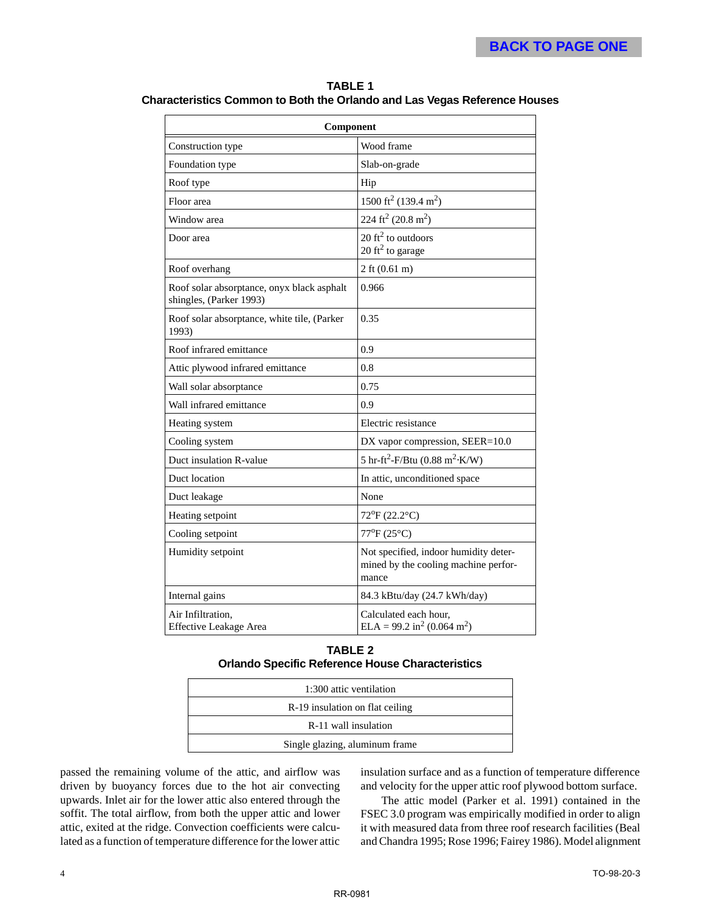#### **TABLE 1**

**Characteristics Common to Both the Orlando and Las Vegas Reference Houses**

| Component                                                             |                                                                                        |  |  |  |  |  |
|-----------------------------------------------------------------------|----------------------------------------------------------------------------------------|--|--|--|--|--|
| Construction type                                                     | Wood frame                                                                             |  |  |  |  |  |
| Foundation type                                                       | Slab-on-grade                                                                          |  |  |  |  |  |
| Roof type                                                             | Hip                                                                                    |  |  |  |  |  |
| Floor area                                                            | 1500 ft <sup>2</sup> (139.4 m <sup>2</sup> )                                           |  |  |  |  |  |
| Window area                                                           | 224 ft <sup>2</sup> (20.8 m <sup>2</sup> )                                             |  |  |  |  |  |
| Door area                                                             | 20 $\text{ft}^2$ to outdoors<br>20 ft <sup>2</sup> to garage                           |  |  |  |  |  |
| Roof overhang                                                         | 2 ft $(0.61 \text{ m})$                                                                |  |  |  |  |  |
| Roof solar absorptance, onyx black asphalt<br>shingles, (Parker 1993) | 0.966                                                                                  |  |  |  |  |  |
| Roof solar absorptance, white tile, (Parker<br>1993)                  | 0.35                                                                                   |  |  |  |  |  |
| Roof infrared emittance                                               | 0.9                                                                                    |  |  |  |  |  |
| Attic plywood infrared emittance                                      | $0.8\,$                                                                                |  |  |  |  |  |
| Wall solar absorptance                                                | 0.75                                                                                   |  |  |  |  |  |
| Wall infrared emittance                                               | 0.9                                                                                    |  |  |  |  |  |
| Heating system                                                        | Electric resistance                                                                    |  |  |  |  |  |
| Cooling system                                                        | DX vapor compression, SEER=10.0                                                        |  |  |  |  |  |
| Duct insulation R-value                                               | 5 hr-ft <sup>2</sup> -F/Btu (0.88 m <sup>2</sup> ·K/W)                                 |  |  |  |  |  |
| Duct location                                                         | In attic, unconditioned space                                                          |  |  |  |  |  |
| Duct leakage                                                          | None                                                                                   |  |  |  |  |  |
| Heating setpoint                                                      | 72°F (22.2°C)                                                                          |  |  |  |  |  |
| Cooling setpoint                                                      | 77°F (25°C)                                                                            |  |  |  |  |  |
| Humidity setpoint                                                     | Not specified, indoor humidity deter-<br>mined by the cooling machine perfor-<br>mance |  |  |  |  |  |
| Internal gains                                                        | 84.3 kBtu/day (24.7 kWh/day)                                                           |  |  |  |  |  |
| Air Infiltration,<br><b>Effective Leakage Area</b>                    | Calculated each hour.<br>ELA = 99.2 in <sup>2</sup> (0.064 m <sup>2</sup> )            |  |  |  |  |  |

#### **TABLE 2 Orlando Specific Reference House Characteristics**

| 1:300 attic ventilation         |  |
|---------------------------------|--|
| R-19 insulation on flat ceiling |  |
| R-11 wall insulation            |  |
| Single glazing, aluminum frame  |  |

passed the remaining volume of the attic, and airflow was driven by buoyancy forces due to the hot air convecting upwards. Inlet air for the lower attic also entered through the soffit. The total airflow, from both the upper attic and lower attic, exited at the ridge. Convection coefficients were calculated as a function of temperature difference for the lower attic insulation surface and as a function of temperature difference and velocity for the upper attic roof plywood bottom surface.

The attic model (Parker et al. 1991) contained in the FSEC 3.0 program was empirically modified in order to align it with measured data from three roof research facilities (Beal and Chandra 1995; Rose 1996; Fairey 1986). Model alignment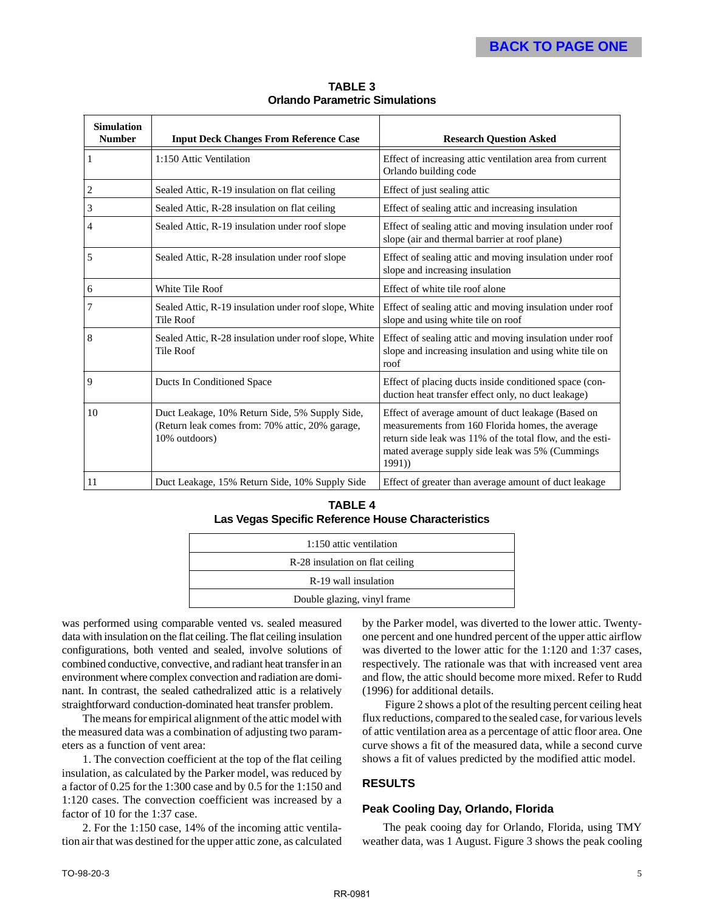| <b>Simulation</b><br><b>Number</b> | <b>Input Deck Changes From Reference Case</b>                                                                      | <b>Research Question Asked</b>                                                                                                                                                                                                  |  |  |  |  |
|------------------------------------|--------------------------------------------------------------------------------------------------------------------|---------------------------------------------------------------------------------------------------------------------------------------------------------------------------------------------------------------------------------|--|--|--|--|
| 1                                  | 1:150 Attic Ventilation                                                                                            | Effect of increasing attic ventilation area from current<br>Orlando building code                                                                                                                                               |  |  |  |  |
| $\overline{c}$                     | Sealed Attic, R-19 insulation on flat ceiling                                                                      | Effect of just sealing attic                                                                                                                                                                                                    |  |  |  |  |
| 3                                  | Sealed Attic, R-28 insulation on flat ceiling                                                                      | Effect of sealing attic and increasing insulation                                                                                                                                                                               |  |  |  |  |
| 4                                  | Sealed Attic, R-19 insulation under roof slope                                                                     | Effect of sealing attic and moving insulation under roof<br>slope (air and thermal barrier at roof plane)                                                                                                                       |  |  |  |  |
| 5                                  | Sealed Attic, R-28 insulation under roof slope                                                                     | Effect of sealing attic and moving insulation under roof<br>slope and increasing insulation                                                                                                                                     |  |  |  |  |
| 6                                  | White Tile Roof                                                                                                    | Effect of white tile roof alone                                                                                                                                                                                                 |  |  |  |  |
| 7                                  | Sealed Attic, R-19 insulation under roof slope, White<br><b>Tile Roof</b>                                          | Effect of sealing attic and moving insulation under roof<br>slope and using white tile on roof                                                                                                                                  |  |  |  |  |
| 8                                  | Sealed Attic, R-28 insulation under roof slope, White<br><b>Tile Roof</b>                                          | Effect of sealing attic and moving insulation under roof<br>slope and increasing insulation and using white tile on<br>roof                                                                                                     |  |  |  |  |
| 9                                  | <b>Ducts In Conditioned Space</b>                                                                                  | Effect of placing ducts inside conditioned space (con-<br>duction heat transfer effect only, no duct leakage)                                                                                                                   |  |  |  |  |
| 10                                 | Duct Leakage, 10% Return Side, 5% Supply Side,<br>(Return leak comes from: 70% attic, 20% garage,<br>10% outdoors) | Effect of average amount of duct leakage (Based on<br>measurements from 160 Florida homes, the average<br>return side leak was 11% of the total flow, and the esti-<br>mated average supply side leak was 5% (Cummings<br>1991) |  |  |  |  |
| 11                                 | Duct Leakage, 15% Return Side, 10% Supply Side                                                                     | Effect of greater than average amount of duct leakage                                                                                                                                                                           |  |  |  |  |

**TABLE 3 Orlando Parametric Simulations**

#### **TABLE 4 Las Vegas Specific Reference House Characteristics**

| 1:150 attic ventilation         |
|---------------------------------|
| R-28 insulation on flat ceiling |
| R-19 wall insulation            |
| Double glazing, vinyl frame     |

was performed using comparable vented vs. sealed measured data with insulation on the flat ceiling. The flat ceiling insulation configurations, both vented and sealed, involve solutions of combined conductive, convective, and radiant heat transfer in an environment where complex convection and radiation are dominant. In contrast, the sealed cathedralized attic is a relatively straightforward conduction-dominated heat transfer problem.

The means for empirical alignment of the attic model with the measured data was a combination of adjusting two parameters as a function of vent area:

1. The convection coefficient at the top of the flat ceiling insulation, as calculated by the Parker model, was reduced by a factor of 0.25 for the 1:300 case and by 0.5 for the 1:150 and 1:120 cases. The convection coefficient was increased by a factor of 10 for the 1:37 case.

2. For the 1:150 case, 14% of the incoming attic ventilation air that was destined for the upper attic zone, as calculated by the Parker model, was diverted to the lower attic. Twentyone percent and one hundred percent of the upper attic airflow was diverted to the lower attic for the 1:120 and 1:37 cases, respectively. The rationale was that with increased vent area and flow, the attic should become more mixed. Refer to Rudd (1996) for additional details.

 Figure 2 shows a plot of the resulting percent ceiling heat flux reductions, compared to the sealed case, for various levels of attic ventilation area as a percentage of attic floor area. One curve shows a fit of the measured data, while a second curve shows a fit of values predicted by the modified attic model.

#### **RESULTS**

#### **Peak Cooling Day, Orlando, Florida**

The peak cooing day for Orlando, Florida, using TMY weather data, was 1 August. Figure 3 shows the peak cooling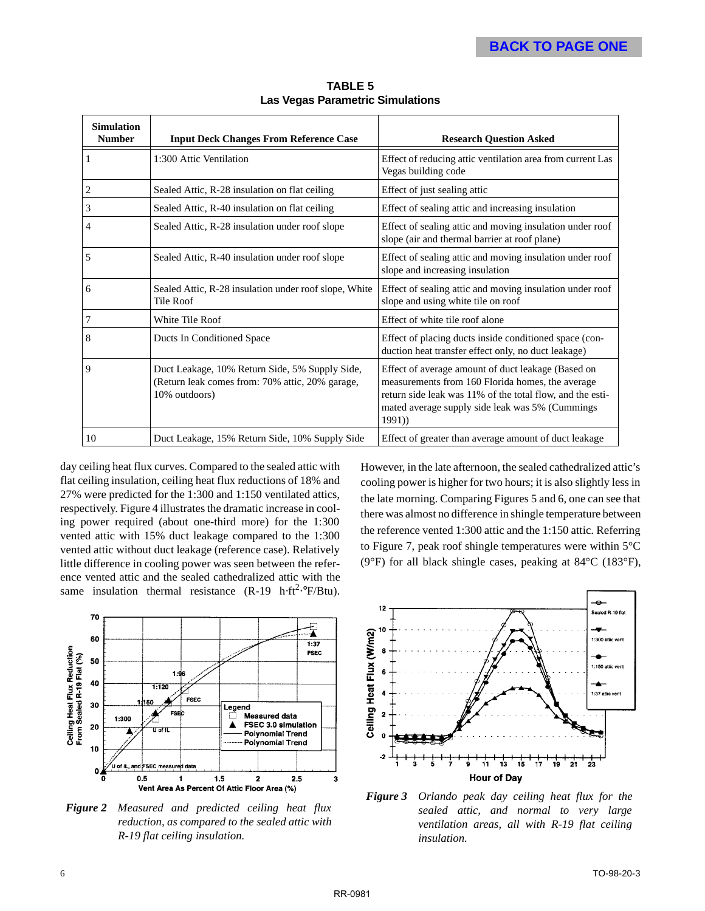| <b>Simulation</b><br><b>Number</b> | <b>Input Deck Changes From Reference Case</b>                                                                      | <b>Research Question Asked</b>                                                                                                                                                                                                  |  |  |  |  |
|------------------------------------|--------------------------------------------------------------------------------------------------------------------|---------------------------------------------------------------------------------------------------------------------------------------------------------------------------------------------------------------------------------|--|--|--|--|
| $\overline{1}$                     | 1:300 Attic Ventilation                                                                                            | Effect of reducing attic ventilation area from current Las<br>Vegas building code                                                                                                                                               |  |  |  |  |
| $\overline{2}$                     | Sealed Attic, R-28 insulation on flat ceiling                                                                      | Effect of just sealing attic                                                                                                                                                                                                    |  |  |  |  |
| $\overline{3}$                     | Sealed Attic, R-40 insulation on flat ceiling                                                                      | Effect of sealing attic and increasing insulation                                                                                                                                                                               |  |  |  |  |
| $\overline{4}$                     | Sealed Attic, R-28 insulation under roof slope                                                                     | Effect of sealing attic and moving insulation under roof<br>slope (air and thermal barrier at roof plane)                                                                                                                       |  |  |  |  |
| 5                                  | Sealed Attic, R-40 insulation under roof slope                                                                     | Effect of sealing attic and moving insulation under roof<br>slope and increasing insulation                                                                                                                                     |  |  |  |  |
| 6                                  | Sealed Attic, R-28 insulation under roof slope, White<br>Tile Roof                                                 | Effect of sealing attic and moving insulation under roof<br>slope and using white tile on roof                                                                                                                                  |  |  |  |  |
| $\overline{7}$                     | White Tile Roof                                                                                                    | Effect of white tile roof alone                                                                                                                                                                                                 |  |  |  |  |
| 8                                  | Ducts In Conditioned Space                                                                                         | Effect of placing ducts inside conditioned space (con-<br>duction heat transfer effect only, no duct leakage)                                                                                                                   |  |  |  |  |
| $\overline{9}$                     | Duct Leakage, 10% Return Side, 5% Supply Side,<br>(Return leak comes from: 70% attic, 20% garage,<br>10% outdoors) | Effect of average amount of duct leakage (Based on<br>measurements from 160 Florida homes, the average<br>return side leak was 11% of the total flow, and the esti-<br>mated average supply side leak was 5% (Cummings<br>1991) |  |  |  |  |
| 10                                 | Duct Leakage, 15% Return Side, 10% Supply Side                                                                     | Effect of greater than average amount of duct leakage                                                                                                                                                                           |  |  |  |  |

**TABLE 5 Las Vegas Parametric Simulations**

day ceiling heat flux curves. Compared to the sealed attic with flat ceiling insulation, ceiling heat flux reductions of 18% and 27% were predicted for the 1:300 and 1:150 ventilated attics, respectively. Figure 4 illustrates the dramatic increase in cooling power required (about one-third more) for the 1:300 vented attic with 15% duct leakage compared to the 1:300 vented attic without duct leakage (reference case). Relatively little difference in cooling power was seen between the reference vented attic and the sealed cathedralized attic with the same insulation thermal resistance  $(R-19 \text{ h} \cdot \text{ft}^2 \cdot \text{F/Btu})$ .

However, in the late afternoon, the sealed cathedralized attic's cooling power is higher for two hours; it is also slightly less in the late morning. Comparing Figures 5 and 6, one can see that there was almost no difference in shingle temperature between the reference vented 1:300 attic and the 1:150 attic. Referring to Figure 7, peak roof shingle temperatures were within 5°C (9°F) for all black shingle cases, peaking at 84°C (183°F),



*Figure 2 Measured and predicted ceiling heat flux reduction, as compared to the sealed attic with R-19 flat ceiling insulation.*



*Figure 3 Orlando peak day ceiling heat flux for the sealed attic, and normal to very large ventilation areas, all with R-19 flat ceiling insulation.*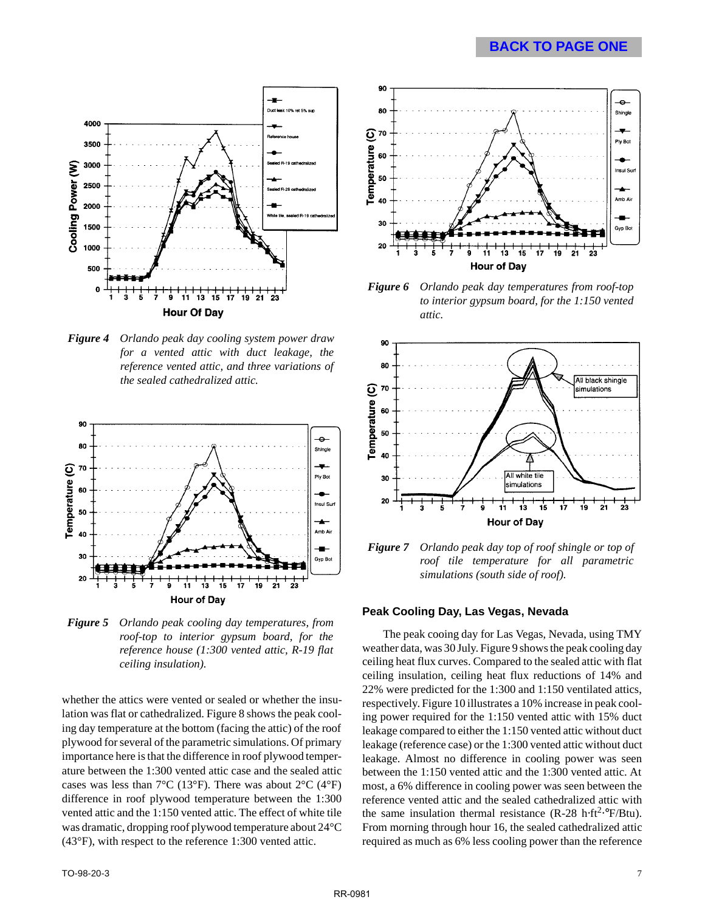#### **[BACK TO PAGE ONE](#page-1-0)**



*Figure 4 Orlando peak day cooling system power draw for a vented attic with duct leakage, the reference vented attic, and three variations of the sealed cathedralized attic.*



*Figure 5 Orlando peak cooling day temperatures, from roof-top to interior gypsum board, for the reference house (1:300 vented attic, R-19 flat ceiling insulation).*

whether the attics were vented or sealed or whether the insulation was flat or cathedralized. Figure 8 shows the peak cooling day temperature at the bottom (facing the attic) of the roof plywood for several of the parametric simulations. Of primary importance here is that the difference in roof plywood temperature between the 1:300 vented attic case and the sealed attic cases was less than  $7^{\circ}$ C (13°F). There was about  $2^{\circ}$ C (4°F) difference in roof plywood temperature between the 1:300 vented attic and the 1:150 vented attic. The effect of white tile was dramatic, dropping roof plywood temperature about 24°C (43°F), with respect to the reference 1:300 vented attic.



*Figure 6 Orlando peak day temperatures from roof-top to interior gypsum board, for the 1:150 vented attic.*



*Figure 7 Orlando peak day top of roof shingle or top of roof tile temperature for all parametric simulations (south side of roof).*

#### **Peak Cooling Day, Las Vegas, Nevada**

The peak cooing day for Las Vegas, Nevada, using TMY weather data, was 30 July. Figure 9 shows the peak cooling day ceiling heat flux curves. Compared to the sealed attic with flat ceiling insulation, ceiling heat flux reductions of 14% and 22% were predicted for the 1:300 and 1:150 ventilated attics, respectively. Figure 10 illustrates a 10% increase in peak cooling power required for the 1:150 vented attic with 15% duct leakage compared to either the 1:150 vented attic without duct leakage (reference case) or the 1:300 vented attic without duct leakage. Almost no difference in cooling power was seen between the 1:150 vented attic and the 1:300 vented attic. At most, a 6% difference in cooling power was seen between the reference vented attic and the sealed cathedralized attic with the same insulation thermal resistance  $(R-28 h·ft<sup>2</sup>·°F/Btu)$ . From morning through hour 16, the sealed cathedralized attic required as much as 6% less cooling power than the reference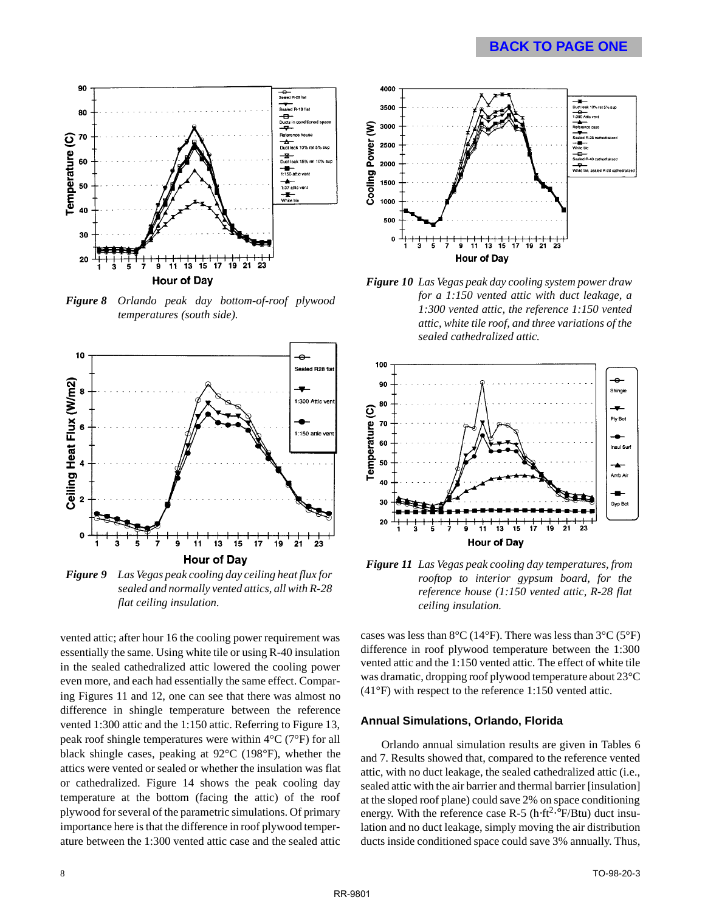#### **[BACK TO PAGE ONE](#page-1-0)**



*Figure 8 Orlando peak day bottom-of-roof plywood temperatures (south side).*



*Figure 9 Las Vegas peak cooling day ceiling heat flux for sealed and normally vented attics, all with R-28 flat ceiling insulation.*

vented attic; after hour 16 the cooling power requirement was essentially the same. Using white tile or using R-40 insulation in the sealed cathedralized attic lowered the cooling power even more, and each had essentially the same effect. Comparing Figures 11 and 12, one can see that there was almost no difference in shingle temperature between the reference vented 1:300 attic and the 1:150 attic. Referring to Figure 13, peak roof shingle temperatures were within 4°C (7°F) for all black shingle cases, peaking at 92°C (198°F), whether the attics were vented or sealed or whether the insulation was flat or cathedralized. Figure 14 shows the peak cooling day temperature at the bottom (facing the attic) of the roof plywood for several of the parametric simulations. Of primary importance here is that the difference in roof plywood temperature between the 1:300 vented attic case and the sealed attic



*Figure 10 Las Vegas peak day cooling system power draw for a 1:150 vented attic with duct leakage, a 1:300 vented attic, the reference 1:150 vented attic, white tile roof, and three variations of the sealed cathedralized attic.*



*Figure 11 Las Vegas peak cooling day temperatures, from rooftop to interior gypsum board, for the reference house (1:150 vented attic, R-28 flat ceiling insulation.*

cases was less than  $8^{\circ}$ C (14 $^{\circ}$ F). There was less than  $3^{\circ}$ C (5 $^{\circ}$ F) difference in roof plywood temperature between the 1:300 vented attic and the 1:150 vented attic. The effect of white tile was dramatic, dropping roof plywood temperature about 23°C (41°F) with respect to the reference 1:150 vented attic.

#### **Annual Simulations, Orlando, Florida**

Orlando annual simulation results are given in Tables 6 and 7. Results showed that, compared to the reference vented attic, with no duct leakage, the sealed cathedralized attic (i.e., sealed attic with the air barrier and thermal barrier [insulation] at the sloped roof plane) could save 2% on space conditioning energy. With the reference case R-5 (h⋅ft<sup>2</sup>⋅°F/Btu) duct insulation and no duct leakage, simply moving the air distribution ducts inside conditioned space could save 3% annually. Thus,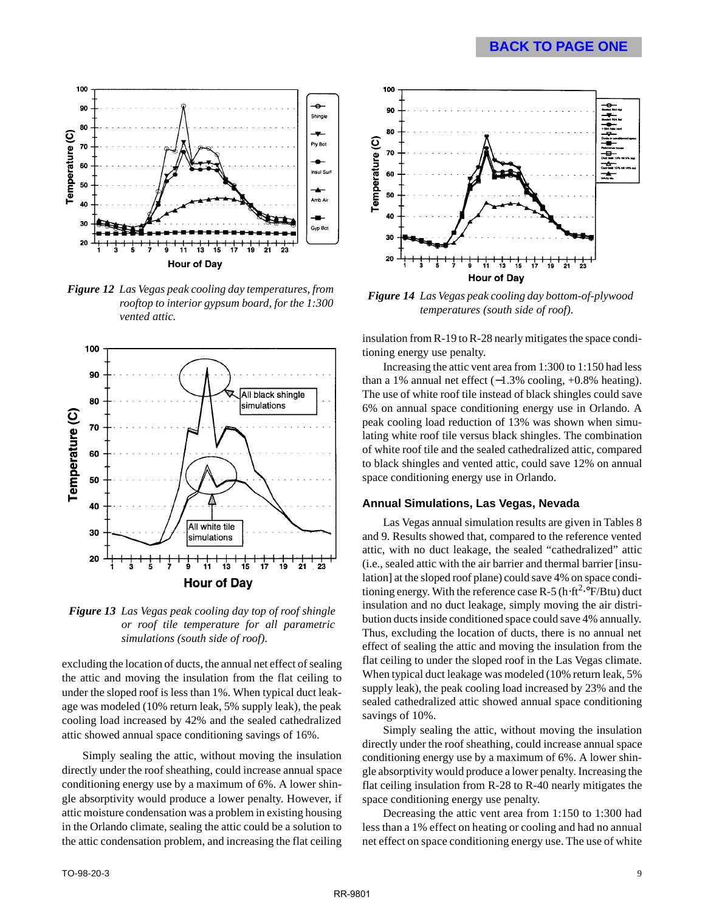

*Figure 12 Las Vegas peak cooling day temperatures, from rooftop to interior gypsum board, for the 1:300 vented attic.*



*Figure 13 Las Vegas peak cooling day top of roof shingle or roof tile temperature for all parametric simulations (south side of roof).*

excluding the location of ducts, the annual net effect of sealing the attic and moving the insulation from the flat ceiling to under the sloped roof is less than 1%. When typical duct leakage was modeled (10% return leak, 5% supply leak), the peak cooling load increased by 42% and the sealed cathedralized attic showed annual space conditioning savings of 16%.

Simply sealing the attic, without moving the insulation directly under the roof sheathing, could increase annual space conditioning energy use by a maximum of 6%. A lower shingle absorptivity would produce a lower penalty. However, if attic moisture condensation was a problem in existing housing in the Orlando climate, sealing the attic could be a solution to the attic condensation problem, and increasing the flat ceiling



*Figure 14 Las Vegas peak cooling day bottom-of-plywood temperatures (south side of roof).*

insulation from R-19 to R-28 nearly mitigates the space conditioning energy use penalty.

Increasing the attic vent area from 1:300 to 1:150 had less than a 1% annual net effect  $(-1.3\% \text{ cooling}, +0.8\% \text{ heating}).$ The use of white roof tile instead of black shingles could save 6% on annual space conditioning energy use in Orlando. A peak cooling load reduction of 13% was shown when simulating white roof tile versus black shingles. The combination of white roof tile and the sealed cathedralized attic, compared to black shingles and vented attic, could save 12% on annual space conditioning energy use in Orlando.

#### **Annual Simulations, Las Vegas, Nevada**

Las Vegas annual simulation results are given in Tables 8 and 9. Results showed that, compared to the reference vented attic, with no duct leakage, the sealed "cathedralized" attic (i.e., sealed attic with the air barrier and thermal barrier [insulation] at the sloped roof plane) could save 4% on space conditioning energy. With the reference case R-5 (h⋅ft<sup>2</sup>.°F/Btu) duct insulation and no duct leakage, simply moving the air distribution ducts inside conditioned space could save 4% annually. Thus, excluding the location of ducts, there is no annual net effect of sealing the attic and moving the insulation from the flat ceiling to under the sloped roof in the Las Vegas climate. When typical duct leakage was modeled (10% return leak, 5% supply leak), the peak cooling load increased by 23% and the sealed cathedralized attic showed annual space conditioning savings of 10%.

Simply sealing the attic, without moving the insulation directly under the roof sheathing, could increase annual space conditioning energy use by a maximum of 6%. A lower shingle absorptivity would produce a lower penalty. Increasing the flat ceiling insulation from R-28 to R-40 nearly mitigates the space conditioning energy use penalty.

Decreasing the attic vent area from 1:150 to 1:300 had less than a 1% effect on heating or cooling and had no annual net effect on space conditioning energy use. The use of white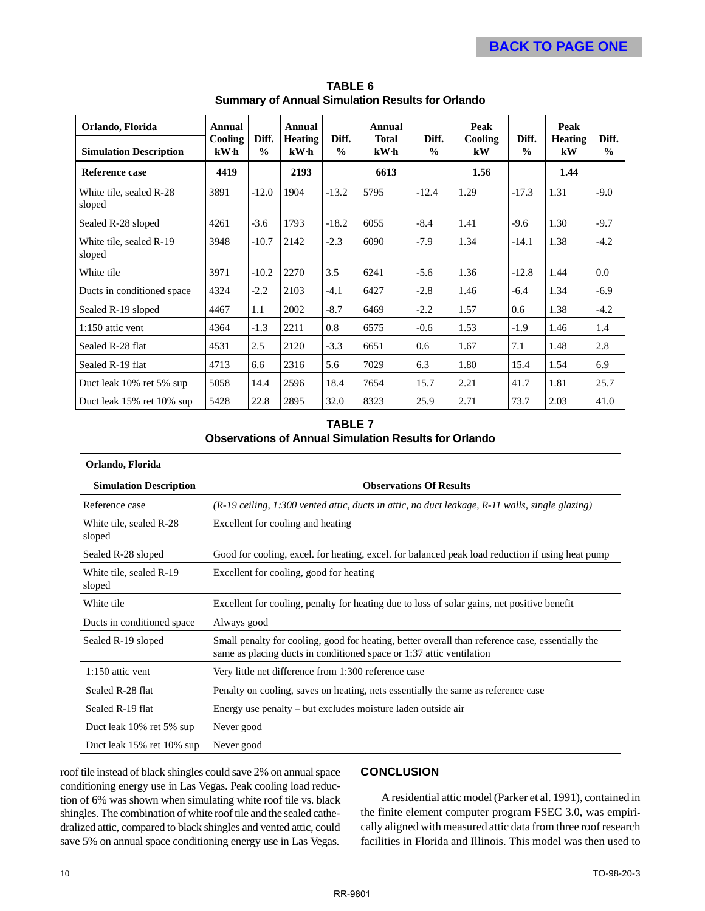| Orlando, Florida                  | Annual                     |                        | Annual                 |                        | Annual               |                        | Peak          |                        | Peak                 |                        |
|-----------------------------------|----------------------------|------------------------|------------------------|------------------------|----------------------|------------------------|---------------|------------------------|----------------------|------------------------|
| <b>Simulation Description</b>     | Cooling<br>kW <sub>h</sub> | Diff.<br>$\frac{0}{0}$ | <b>Heating</b><br>kW·h | Diff.<br>$\frac{6}{9}$ | <b>Total</b><br>kW·h | Diff.<br>$\frac{0}{0}$ | Cooling<br>kW | Diff.<br>$\frac{0}{0}$ | <b>Heating</b><br>kW | Diff.<br>$\frac{0}{0}$ |
| <b>Reference case</b>             | 4419                       |                        | 2193                   |                        | 6613                 |                        | 1.56          |                        | 1.44                 |                        |
| White tile, sealed R-28<br>sloped | 3891                       | $-12.0$                | 1904                   | $-13.2$                | 5795                 | $-12.4$                | 1.29          | $-17.3$                | 1.31                 | $-9.0$                 |
| Sealed R-28 sloped                | 4261                       | $-3.6$                 | 1793                   | $-18.2$                | 6055                 | $-8.4$                 | 1.41          | $-9.6$                 | 1.30                 | $-9.7$                 |
| White tile, sealed R-19<br>sloped | 3948                       | $-10.7$                | 2142                   | $-2.3$                 | 6090                 | $-7.9$                 | 1.34          | $-14.1$                | 1.38                 | $-4.2$                 |
| White tile                        | 3971                       | $-10.2$                | 2270                   | 3.5                    | 6241                 | $-5.6$                 | 1.36          | $-12.8$                | 1.44                 | 0.0                    |
| Ducts in conditioned space        | 4324                       | $-2.2$                 | 2103                   | $-4.1$                 | 6427                 | $-2.8$                 | 1.46          | $-6.4$                 | 1.34                 | $-6.9$                 |
| Sealed R-19 sloped                | 4467                       | 1.1                    | 2002                   | $-8.7$                 | 6469                 | $-2.2$                 | 1.57          | 0.6                    | 1.38                 | $-4.2$                 |
| $1:150$ attic vent                | 4364                       | $-1.3$                 | 2211                   | 0.8                    | 6575                 | $-0.6$                 | 1.53          | $-1.9$                 | 1.46                 | 1.4                    |
| Sealed R-28 flat                  | 4531                       | 2.5                    | 2120                   | $-3.3$                 | 6651                 | 0.6                    | 1.67          | 7.1                    | 1.48                 | 2.8                    |
| Sealed R-19 flat                  | 4713                       | 6.6                    | 2316                   | 5.6                    | 7029                 | 6.3                    | 1.80          | 15.4                   | 1.54                 | 6.9                    |
| Duct leak 10% ret 5% sup          | 5058                       | 14.4                   | 2596                   | 18.4                   | 7654                 | 15.7                   | 2.21          | 41.7                   | 1.81                 | 25.7                   |
| Duct leak 15% ret 10% sup         | 5428                       | 22.8                   | 2895                   | 32.0                   | 8323                 | 25.9                   | 2.71          | 73.7                   | 2.03                 | 41.0                   |

**TABLE 6 Summary of Annual Simulation Results for Orlando**

#### **TABLE 7 Observations of Annual Simulation Results for Orlando**

| Orlando, Florida                  |                                                                                                                                                                          |
|-----------------------------------|--------------------------------------------------------------------------------------------------------------------------------------------------------------------------|
| <b>Simulation Description</b>     | <b>Observations Of Results</b>                                                                                                                                           |
| Reference case                    | $(R-19$ ceiling, 1:300 vented attic, ducts in attic, no duct leakage, R-11 walls, single glazing)                                                                        |
| White tile, sealed R-28<br>sloped | Excellent for cooling and heating                                                                                                                                        |
| Sealed R-28 sloped                | Good for cooling, excel. for heating, excel. for balanced peak load reduction if using heat pump                                                                         |
| White tile, sealed R-19<br>sloped | Excellent for cooling, good for heating                                                                                                                                  |
| White tile                        | Excellent for cooling, penalty for heating due to loss of solar gains, net positive benefit                                                                              |
| Ducts in conditioned space        | Always good                                                                                                                                                              |
| Sealed R-19 sloped                | Small penalty for cooling, good for heating, better overall than reference case, essentially the<br>same as placing ducts in conditioned space or 1:37 attic ventilation |
| $1:150$ attic vent                | Very little net difference from 1:300 reference case                                                                                                                     |
| Sealed R-28 flat                  | Penalty on cooling, saves on heating, nets essentially the same as reference case                                                                                        |
| Sealed R-19 flat                  | Energy use penalty – but excludes moisture laden outside air                                                                                                             |
| Duct leak 10% ret 5% sup          | Never good                                                                                                                                                               |
| Duct leak 15% ret 10% sup         | Never good                                                                                                                                                               |

roof tile instead of black shingles could save 2% on annual space conditioning energy use in Las Vegas. Peak cooling load reduction of 6% was shown when simulating white roof tile vs. black shingles. The combination of white roof tile and the sealed cathedralized attic, compared to black shingles and vented attic, could save 5% on annual space conditioning energy use in Las Vegas.

#### **CONCLUSION**

A residential attic model (Parker et al. 1991), contained in the finite element computer program FSEC 3.0, was empirically aligned with measured attic data from three roof research facilities in Florida and Illinois. This model was then used to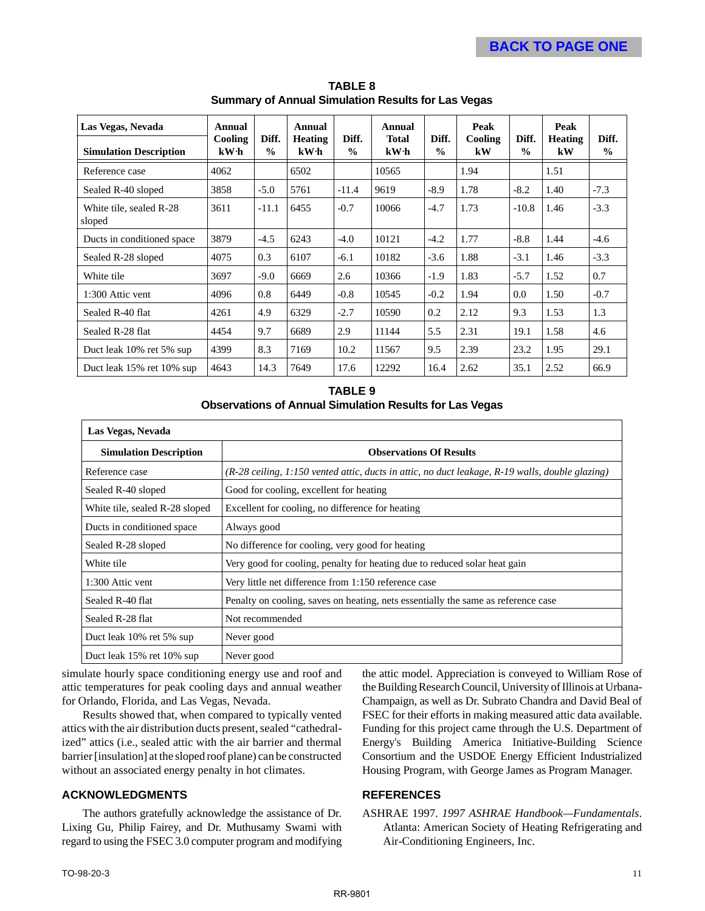| Las Vegas, Nevada                 | Annual                     |                        | Annual                 |                        | Annual                          |                        | Peak          |                        | Peak                 |                        |
|-----------------------------------|----------------------------|------------------------|------------------------|------------------------|---------------------------------|------------------------|---------------|------------------------|----------------------|------------------------|
| <b>Simulation Description</b>     | Cooling<br>kW <sub>h</sub> | Diff.<br>$\frac{0}{0}$ | <b>Heating</b><br>kW·h | Diff.<br>$\frac{0}{0}$ | <b>Total</b><br>kW <sub>h</sub> | Diff.<br>$\frac{0}{0}$ | Cooling<br>kW | Diff.<br>$\frac{0}{0}$ | <b>Heating</b><br>kW | Diff.<br>$\frac{0}{0}$ |
| Reference case                    | 4062                       |                        | 6502                   |                        | 10565                           |                        | 1.94          |                        | 1.51                 |                        |
| Sealed R-40 sloped                | 3858                       | $-5.0$                 | 5761                   | $-11.4$                | 9619                            | -8.9                   | 1.78          | $-8.2$                 | 1.40                 | $-7.3$                 |
| White tile, sealed R-28<br>sloped | 3611                       | $-11.1$                | 6455                   | $-0.7$                 | 10066                           | $-4.7$                 | 1.73          | $-10.8$                | 1.46                 | $-3.3$                 |
| Ducts in conditioned space        | 3879                       | $-4.5$                 | 6243                   | $-4.0$                 | 10121                           | $-4.2$                 | 1.77          | $-8.8$                 | 1.44                 | $-4.6$                 |
| Sealed R-28 sloped                | 4075                       | 0.3                    | 6107                   | $-6.1$                 | 10182                           | $-3.6$                 | 1.88          | $-3.1$                 | 1.46                 | $-3.3$                 |
| White tile                        | 3697                       | $-9.0$                 | 6669                   | 2.6                    | 10366                           | $-1.9$                 | 1.83          | $-5.7$                 | 1.52                 | 0.7                    |
| 1:300 Attic vent                  | 4096                       | 0.8                    | 6449                   | $-0.8$                 | 10545                           | $-0.2$                 | 1.94          | 0.0                    | 1.50                 | $-0.7$                 |
| Sealed R-40 flat                  | 4261                       | 4.9                    | 6329                   | -2.7                   | 10590                           | 0.2                    | 2.12          | 9.3                    | 1.53                 | 1.3                    |
| Sealed R-28 flat                  | 4454                       | 9.7                    | 6689                   | 2.9                    | 11144                           | 5.5                    | 2.31          | 19.1                   | 1.58                 | 4.6                    |
| Duct leak 10% ret 5% sup          | 4399                       | 8.3                    | 7169                   | 10.2                   | 11567                           | 9.5                    | 2.39          | 23.2                   | 1.95                 | 29.1                   |
| Duct leak 15% ret 10% sup         | 4643                       | 14.3                   | 7649                   | 17.6                   | 12292                           | 16.4                   | 2.62          | 35.1                   | 2.52                 | 66.9                   |

**TABLE 8 Summary of Annual Simulation Results for Las Vegas**

#### **TABLE 9 Observations of Annual Simulation Results for Las Vegas**

| Las Vegas, Nevada              |                                                                                                 |
|--------------------------------|-------------------------------------------------------------------------------------------------|
| <b>Simulation Description</b>  | <b>Observations Of Results</b>                                                                  |
| Reference case                 | (R-28 ceiling, 1:150 vented attic, ducts in attic, no duct leakage, R-19 walls, double glazing) |
| Sealed R-40 sloped             | Good for cooling, excellent for heating                                                         |
| White tile, sealed R-28 sloped | Excellent for cooling, no difference for heating                                                |
| Ducts in conditioned space     | Always good                                                                                     |
| Sealed R-28 sloped             | No difference for cooling, very good for heating                                                |
| White tile                     | Very good for cooling, penalty for heating due to reduced solar heat gain                       |
| 1:300 Attic vent               | Very little net difference from 1:150 reference case                                            |
| Sealed R-40 flat               | Penalty on cooling, saves on heating, nets essentially the same as reference case               |
| Sealed R-28 flat               | Not recommended                                                                                 |
| Duct leak 10% ret 5% sup       | Never good                                                                                      |
| Duct leak 15% ret 10% sup      | Never good                                                                                      |

simulate hourly space conditioning energy use and roof and attic temperatures for peak cooling days and annual weather for Orlando, Florida, and Las Vegas, Nevada.

Results showed that, when compared to typically vented attics with the air distribution ducts present, sealed "cathedralized" attics (i.e., sealed attic with the air barrier and thermal barrier [insulation] at the sloped roof plane) can be constructed without an associated energy penalty in hot climates.

#### **ACKNOWLEDGMENTS**

The authors gratefully acknowledge the assistance of Dr. Lixing Gu, Philip Fairey, and Dr. Muthusamy Swami with regard to using the FSEC 3.0 computer program and modifying the attic model. Appreciation is conveyed to William Rose of the Building Research Council, University of Illinois at Urbana-Champaign, as well as Dr. Subrato Chandra and David Beal of FSEC for their efforts in making measured attic data available. Funding for this project came through the U.S. Department of Energy's Building America Initiative-Building Science Consortium and the USDOE Energy Efficient Industrialized Housing Program, with George James as Program Manager.

#### **REFERENCES**

ASHRAE 1997. *1997 ASHRAE Handbook—Fundamentals*. Atlanta: American Society of Heating Refrigerating and Air-Conditioning Engineers, Inc.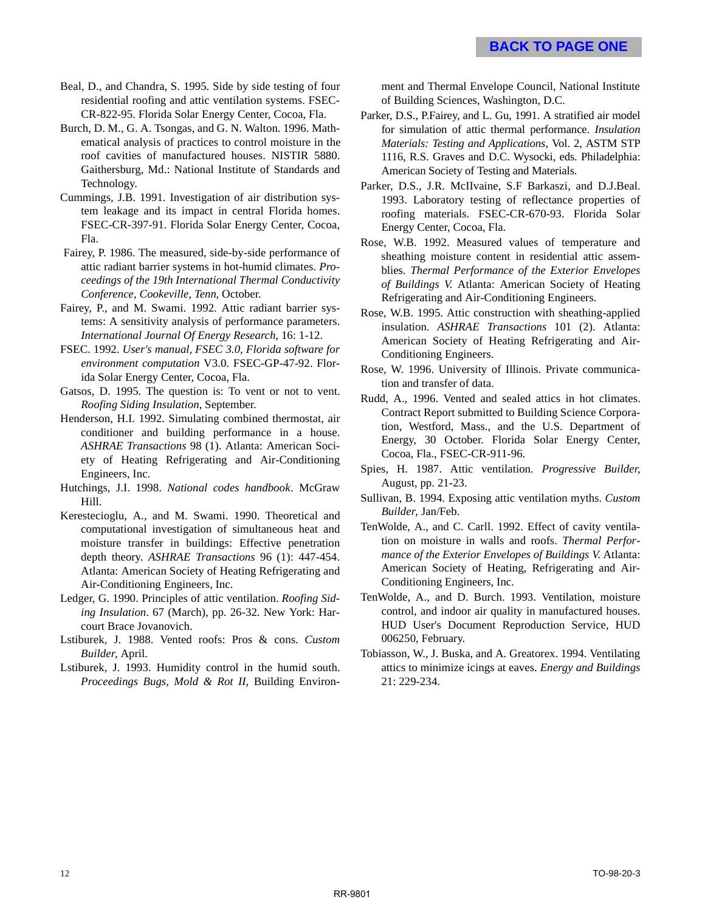Beal, D., and Chandra, S. 1995. Side by side testing of four residential roofing and attic ventilation systems. FSEC-CR-822-95. Florida Solar Energy Center, Cocoa, Fla.

Burch, D. M., G. A. Tsongas, and G. N. Walton. 1996. Mathematical analysis of practices to control moisture in the roof cavities of manufactured houses. NISTIR 5880. Gaithersburg, Md.: National Institute of Standards and Technology.

Cummings, J.B. 1991. Investigation of air distribution system leakage and its impact in central Florida homes. FSEC-CR-397-91. Florida Solar Energy Center, Cocoa, Fla.

 Fairey, P. 1986. The measured, side-by-side performance of attic radiant barrier systems in hot-humid climates. *Proceedings of the 19th International Thermal Conductivity Conference, Cookeville, Tenn*, October.

Fairey, P., and M. Swami. 1992. Attic radiant barrier systems: A sensitivity analysis of performance parameters. *International Journal Of Energy Research*, 16: 1-12.

FSEC. 1992. *User's manual, FSEC 3.0, Florida software for environment computation* V3.0. FSEC-GP-47-92. Florida Solar Energy Center, Cocoa, Fla.

Gatsos, D. 1995. The question is: To vent or not to vent. *Roofing Siding Insulation*, September.

Henderson, H.I. 1992. Simulating combined thermostat, air conditioner and building performance in a house. *ASHRAE Transactions* 98 (1). Atlanta: American Society of Heating Refrigerating and Air-Conditioning Engineers, Inc.

Hutchings, J.I. 1998. *National codes handbook*. McGraw Hill.

Kerestecioglu, A., and M. Swami. 1990. Theoretical and computational investigation of simultaneous heat and moisture transfer in buildings: Effective penetration depth theory. *ASHRAE Transactions* 96 (1): 447-454. Atlanta: American Society of Heating Refrigerating and Air-Conditioning Engineers, Inc.

Ledger, G. 1990. Principles of attic ventilation. *Roofing Siding Insulation*. 67 (March), pp. 26-32. New York: Harcourt Brace Jovanovich.

Lstiburek, J. 1988. Vented roofs: Pros & cons. *Custom Builder*, April.

Lstiburek, J. 1993. Humidity control in the humid south. *Proceedings Bugs, Mold & Rot II*, Building Environment and Thermal Envelope Council, National Institute of Building Sciences, Washington, D.C.

Parker, D.S., P.Fairey, and L. Gu, 1991. A stratified air model for simulation of attic thermal performance. *Insulation Materials: Testing and Applications*, Vol. 2, ASTM STP 1116, R.S. Graves and D.C. Wysocki, eds. Philadelphia: American Society of Testing and Materials.

Parker, D.S., J.R. McIIvaine, S.F Barkaszi, and D.J.Beal. 1993. Laboratory testing of reflectance properties of roofing materials. FSEC-CR-670-93. Florida Solar Energy Center, Cocoa, Fla.

Rose, W.B. 1992. Measured values of temperature and sheathing moisture content in residential attic assemblies. *Thermal Performance of the Exterior Envelopes of Buildings V.* Atlanta: American Society of Heating Refrigerating and Air-Conditioning Engineers.

Rose, W.B. 1995. Attic construction with sheathing-applied insulation. *ASHRAE Transactions* 101 (2). Atlanta: American Society of Heating Refrigerating and Air-Conditioning Engineers.

Rose, W. 1996. University of Illinois. Private communication and transfer of data.

Rudd, A., 1996. Vented and sealed attics in hot climates. Contract Report submitted to Building Science Corporation, Westford, Mass., and the U.S. Department of Energy, 30 October. Florida Solar Energy Center, Cocoa, Fla., FSEC-CR-911-96.

Spies, H. 1987. Attic ventilation. *Progressive Builder,* August, pp. 21-23.

Sullivan, B. 1994. Exposing attic ventilation myths. *Custom Builder*, Jan/Feb.

TenWolde, A., and C. Carll. 1992. Effect of cavity ventilation on moisture in walls and roofs. *Thermal Performance of the Exterior Envelopes of Buildings V*. Atlanta: American Society of Heating, Refrigerating and Air-Conditioning Engineers, Inc.

TenWolde, A., and D. Burch. 1993. Ventilation, moisture control, and indoor air quality in manufactured houses. HUD User's Document Reproduction Service, HUD 006250, February.

Tobiasson, W., J. Buska, and A. Greatorex. 1994. Ventilating attics to minimize icings at eaves. *Energy and Buildings* 21: 229-234.